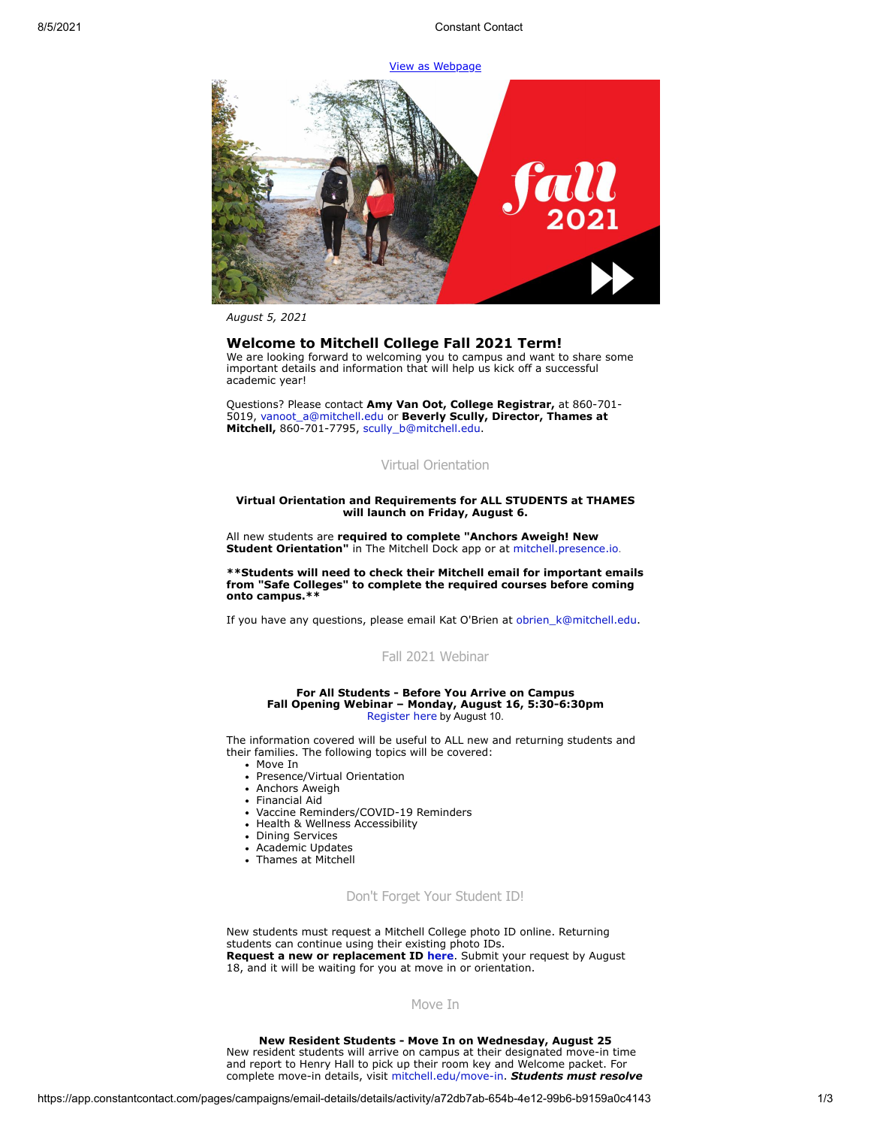# [View as Webpage](https://campaignlp.constantcontact.com/em/1119223208753/a72db7ab-654b-4e12-99b6-b9159a0c4143)



*August 5, 2021*

# **Welcome to Mitchell College Fall 2021 Term!**

We are looking forward to welcoming you to campus and want to share some important details and information that will help us kick off a successful academic year!

Questions? Please contact **Amy Van Oot, College Registrar,** at 860-701- 5019, [vanoot\\_a@mitchell.edu](mailto:vanoot_a@mitchell.edu) or **Beverly Scully, Director, Thames at Mitchell,** 860-701-7795, [scully\\_b@mitchell.edu](mailto:scully_b@mitchell.edu).

# Virtual Orientation

#### **Virtual Orientation and Requirements for ALL STUDENTS at THAMES will launch on Friday, August 6.**

All new students are **required to complete "Anchors Aweigh! New Student Orientation"** in The Mitchell Dock app or at [mitchell.presence.io](https://mitchell.presence.io/).

**\*\*Students will need to check their Mitchell email for important emails from "Safe Colleges" to complete the required courses before coming onto campus.\*\***

If you have any questions, please email Kat O'Brien at [obrien\\_k@mitchell.edu.](mailto:obrien_k@mitchell.edu)

# [Fall 2021 Webinar](https://web.cvent.com/event/7d27ee39-6f12-409f-95b9-ee9e74bb98d6/regProcessStep1)

#### **For All Students - Before You Arrive on Campus Fall Opening Webinar – Monday, August 16, 5:30-6:30pm** [Register here](https://web.cvent.com/event/7d27ee39-6f12-409f-95b9-ee9e74bb98d6/regProcessStep1) by August 10.

The information covered will be useful to ALL new and returning students and their families. The following topics will be covered:

- Move In
- Presence/Virtual Orientation
- Anchors Aweigh
- Financial Aid
- Vaccine Reminders/COVID-19 Reminders
- Health & Wellness Accessibility
- Dining Services
- Academic Updates
- Thames at Mitchell
- 

# Don't Forget Your Student ID!

New students must request a Mitchell College photo ID online. Returning students can continue using their existing photo IDs. **Request a new or replacement ID [here](http://mitchell.libguides.com/photoIDs)**. Submit your request by August 18, and it will be waiting for you at move in or orientation.

### Move In

#### **New Resident Students - Move In on Wednesday, August 25**

New resident students will arrive on campus at their designated move-in time and report to Henry Hall to pick up their room key and Welcome packet. For complete move-in details, visit [mitchell.edu/move-in.](https://mitchell.edu/move-in) *Students must resolve*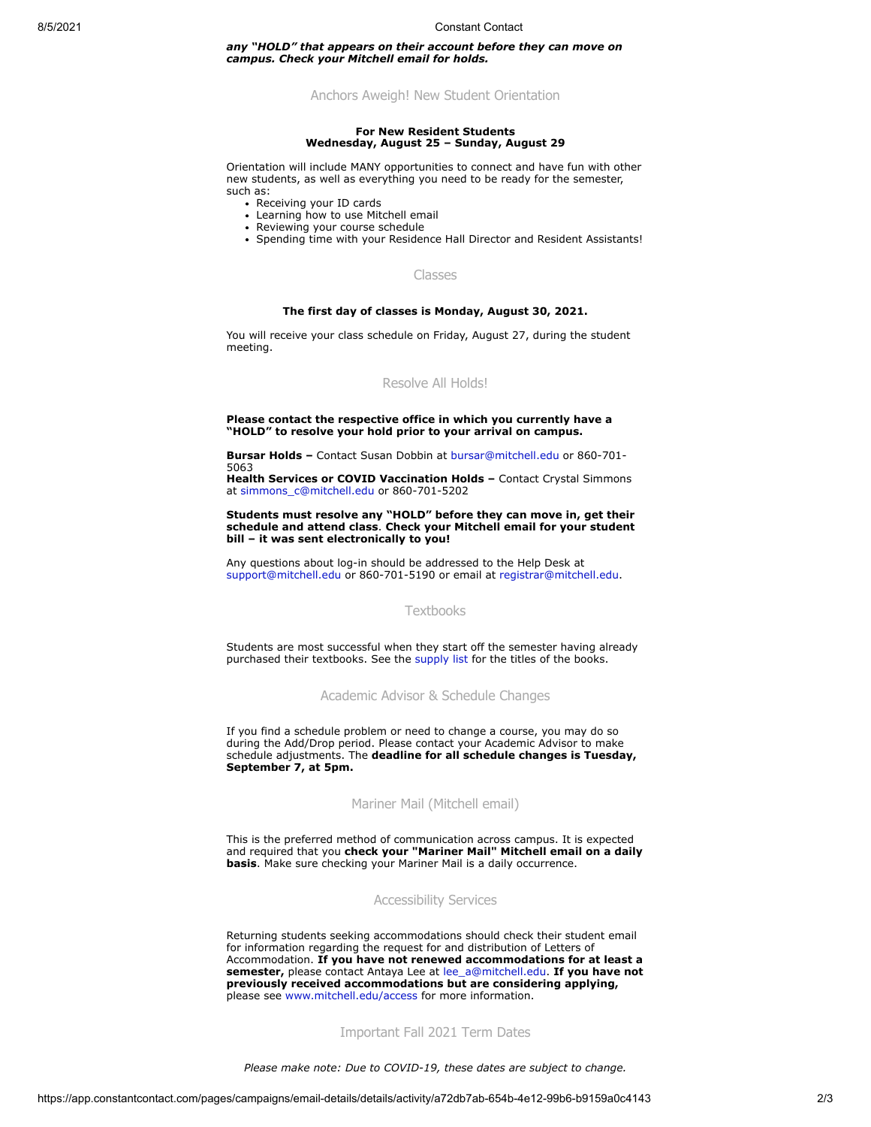#### 8/5/2021 Constant Contact

*any "HOLD" that appears on their account before they can move on campus. Check your Mitchell email for holds.*

Anchors Aweigh! New Student Orientation

#### **For New Resident Students Wednesday, August 25 – Sunday, August 29**

Orientation will include MANY opportunities to connect and have fun with other new students, as well as everything you need to be ready for the semester, such as:

- Receiving your ID cards
- Learning how to use Mitchell email
- Reviewing your course schedule
- Spending time with your Residence Hall Director and Resident Assistants!

### Classes

#### **The first day of classes is Monday, August 30, 2021.**

You will receive your class schedule on Friday, August 27, during the student meeting.

# Resolve All Holds!

#### **Please contact the respective office in which you currently have a "HOLD" to resolve your hold prior to your arrival on campus.**

**Bursar Holds –** Contact Susan Dobbin at [bursar@mitchell.edu](mailto:bursar@mitchell.edu) or 860-701- 5063

**Health Services or COVID Vaccination Holds –** Contact Crystal Simmons at [simmons\\_c@mitchell.edu](mailto:simmons_c@mitchell.edu) or 860-701-5202

**Students must resolve any "HOLD" before they can move in, get their schedule and attend class**. **Check your Mitchell email for your student bill – it was sent electronically to you!**

Any questions about log-in should be addressed to the Help Desk at [support@mitchell.edu](mailto:support@mitchell.edu) or 860-701-5190 or email at [registrar@mitchell.edu](mailto:registrar@mitchell.edu).

# Textbooks

Students are most successful when they start off the semester having already purchased their textbooks. See the [supply list](https://mitchell.edu/wp-content/uploads/2021/06/ThamesAcademicList_F2021.pdf) for the titles of the books.

Academic Advisor & Schedule Changes

If you find a schedule problem or need to change a course, you may do so during the Add/Drop period. Please contact your Academic Advisor to make schedule adjustments. The **deadline for all schedule changes is Tuesday, September 7, at 5pm.**

### Mariner Mail (Mitchell email)

This is the preferred method of communication across campus. It is expected and required that you **check your "Mariner Mail" Mitchell email on a daily basis**. Make sure checking your Mariner Mail is a daily occurrence.

### Accessibility Services

Returning students seeking accommodations should check their student email for information regarding the request for and distribution of Letters of Accommodation. **If you have not renewed accommodations for at least a semester,** please contact Antaya Lee at [lee\\_a@mitchell.edu.](mailto:lee_a@mitchell.edu) **If you have not previously received accommodations but are considering applying,** please see [www.mitchell.edu/access](http://www.mitchell.edu/access) for more information.

# Important Fall 2021 Term Dates

*Please make note: Due to COVID-19, these dates are subject to change.*